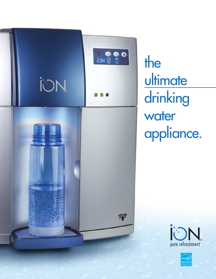

the ultimate drinking water appliance.